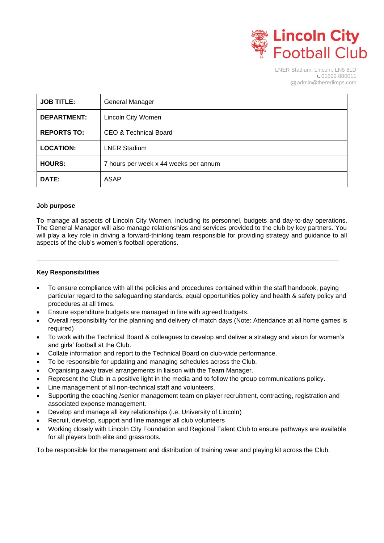

LNER Stadium, Lincoln, LN5 8LD C01522 880011  $\boxtimes$  admin@theredimps.com

| <b>JOB TITLE:</b>  | General Manager                       |
|--------------------|---------------------------------------|
| <b>DEPARTMENT:</b> | <b>Lincoln City Women</b>             |
| <b>REPORTS TO:</b> | CEO & Technical Board                 |
| <b>LOCATION:</b>   | <b>LNER Stadium</b>                   |
| <b>HOURS:</b>      | 7 hours per week x 44 weeks per annum |
| DATE:              | ASAP                                  |

# **Job purpose**

To manage all aspects of Lincoln City Women, including its personnel, budgets and day-to-day operations. The General Manager will also manage relationships and services provided to the club by key partners. You will play a key role in driving a forward-thinking team responsible for providing strategy and guidance to all aspects of the club's women's football operations.

## **Key Responsibilities**

- To ensure compliance with all the policies and procedures contained within the staff handbook, paying particular regard to the safeguarding standards, equal opportunities policy and health & safety policy and procedures at all times.
- Ensure expenditure budgets are managed in line with agreed budgets.
- Overall responsibility for the planning and delivery of match days (Note: Attendance at all home games is required)
- To work with the Technical Board & colleagues to develop and deliver a strategy and vision for women's and girls' football at the Club.
- Collate information and report to the Technical Board on club-wide performance.
- To be responsible for updating and managing schedules across the Club.
- Organising away travel arrangements in liaison with the Team Manager.
- Represent the Club in a positive light in the media and to follow the group communications policy.
- Line management of all non-technical staff and volunteers.
- Supporting the coaching /senior management team on player recruitment, contracting, registration and associated expense management.
- Develop and manage all key relationships (i.e. University of Lincoln)
- Recruit, develop, support and line manager all club volunteers
- Working closely with Lincoln City Foundation and Regional Talent Club to ensure pathways are available for all players both elite and grassroots.

To be responsible for the management and distribution of training wear and playing kit across the Club.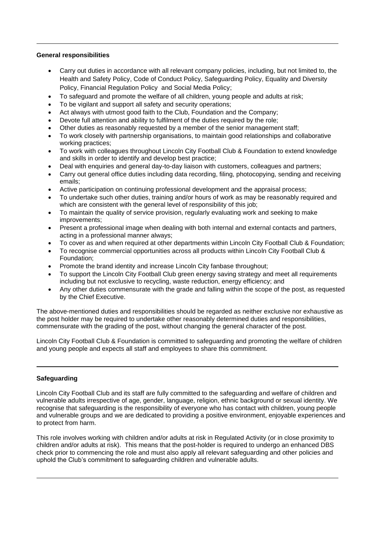## **General responsibilities**

- Carry out duties in accordance with all relevant company policies, including, but not limited to, the Health and Safety Policy, Code of Conduct Policy, Safeguarding Policy, Equality and Diversity Policy, Financial Regulation Policy and Social Media Policy;
- To safeguard and promote the welfare of all children, young people and adults at risk;
- To be vigilant and support all safety and security operations;
- Act always with utmost good faith to the Club, Foundation and the Company;
- Devote full attention and ability to fulfilment of the duties required by the role;
- Other duties as reasonably requested by a member of the senior management staff;
- To work closely with partnership organisations, to maintain good relationships and collaborative working practices;
- To work with colleagues throughout Lincoln City Football Club & Foundation to extend knowledge and skills in order to identify and develop best practice;
- Deal with enquiries and general day-to-day liaison with customers, colleagues and partners;
- Carry out general office duties including data recording, filing, photocopying, sending and receiving emails;
- Active participation on continuing professional development and the appraisal process;
- To undertake such other duties, training and/or hours of work as may be reasonably required and which are consistent with the general level of responsibility of this job;
- To maintain the quality of service provision, regularly evaluating work and seeking to make improvements;
- Present a professional image when dealing with both internal and external contacts and partners, acting in a professional manner always;
- To cover as and when required at other departments within Lincoln City Football Club & Foundation;
- To recognise commercial opportunities across all products within Lincoln City Football Club & Foundation;
- Promote the brand identity and increase Lincoln City fanbase throughout;
- To support the Lincoln City Football Club green energy saving strategy and meet all requirements including but not exclusive to recycling, waste reduction, energy efficiency; and
- Any other duties commensurate with the grade and falling within the scope of the post, as requested by the Chief Executive.

The above-mentioned duties and responsibilities should be regarded as neither exclusive nor exhaustive as the post holder may be required to undertake other reasonably determined duties and responsibilities, commensurate with the grading of the post, without changing the general character of the post.

Lincoln City Football Club & Foundation is committed to safeguarding and promoting the welfare of children and young people and expects all staff and employees to share this commitment.

# **Safeguarding**

Lincoln City Football Club and its staff are fully committed to the safeguarding and welfare of children and vulnerable adults irrespective of age, gender, language, religion, ethnic background or sexual identity. We recognise that safeguarding is the responsibility of everyone who has contact with children, young people and vulnerable groups and we are dedicated to providing a positive environment, enjoyable experiences and to protect from harm.

This role involves working with children and/or adults at risk in Regulated Activity (or in close proximity to children and/or adults at risk). This means that the post-holder is required to undergo an enhanced DBS check prior to commencing the role and must also apply all relevant safeguarding and other policies and uphold the Club's commitment to safeguarding children and vulnerable adults.